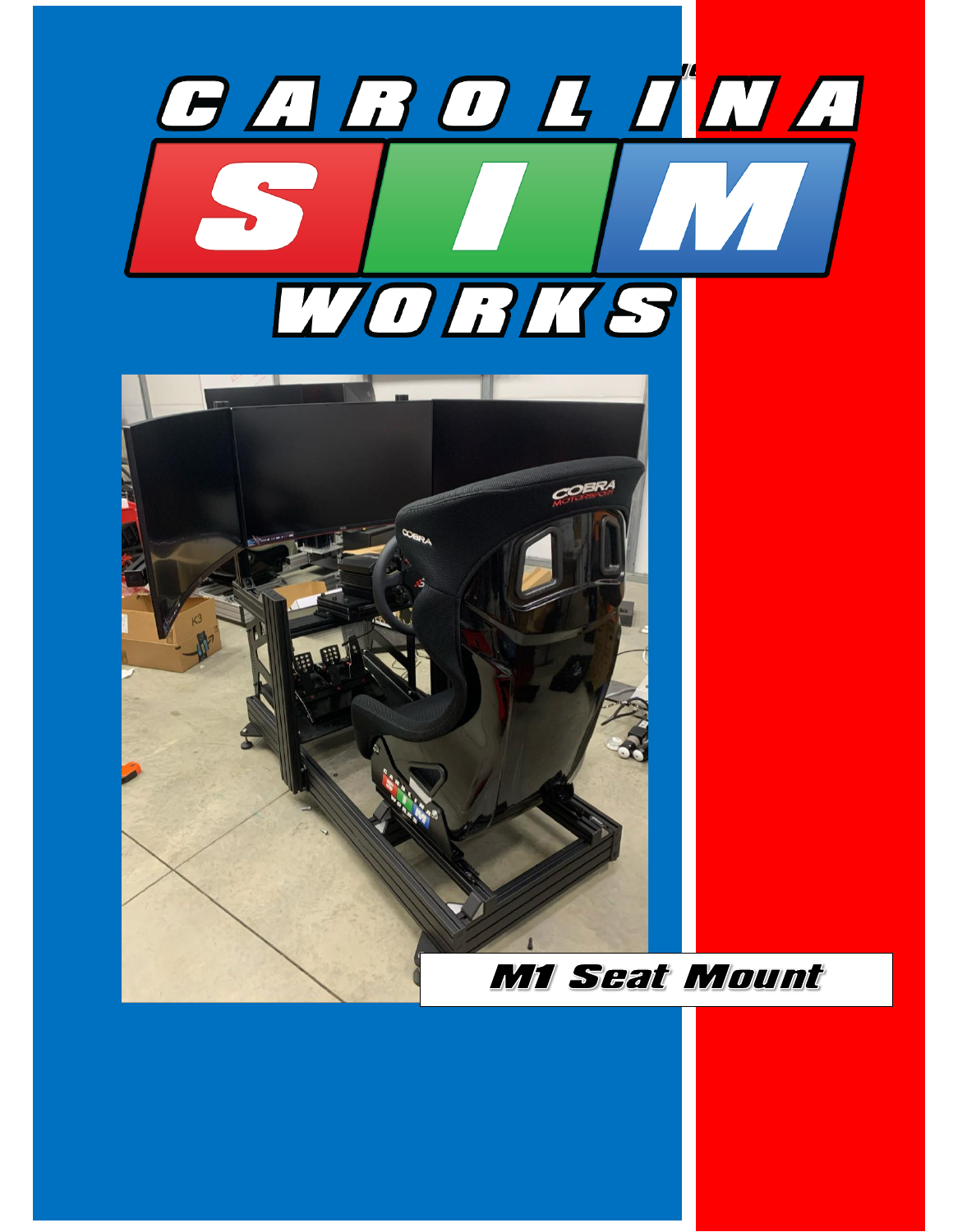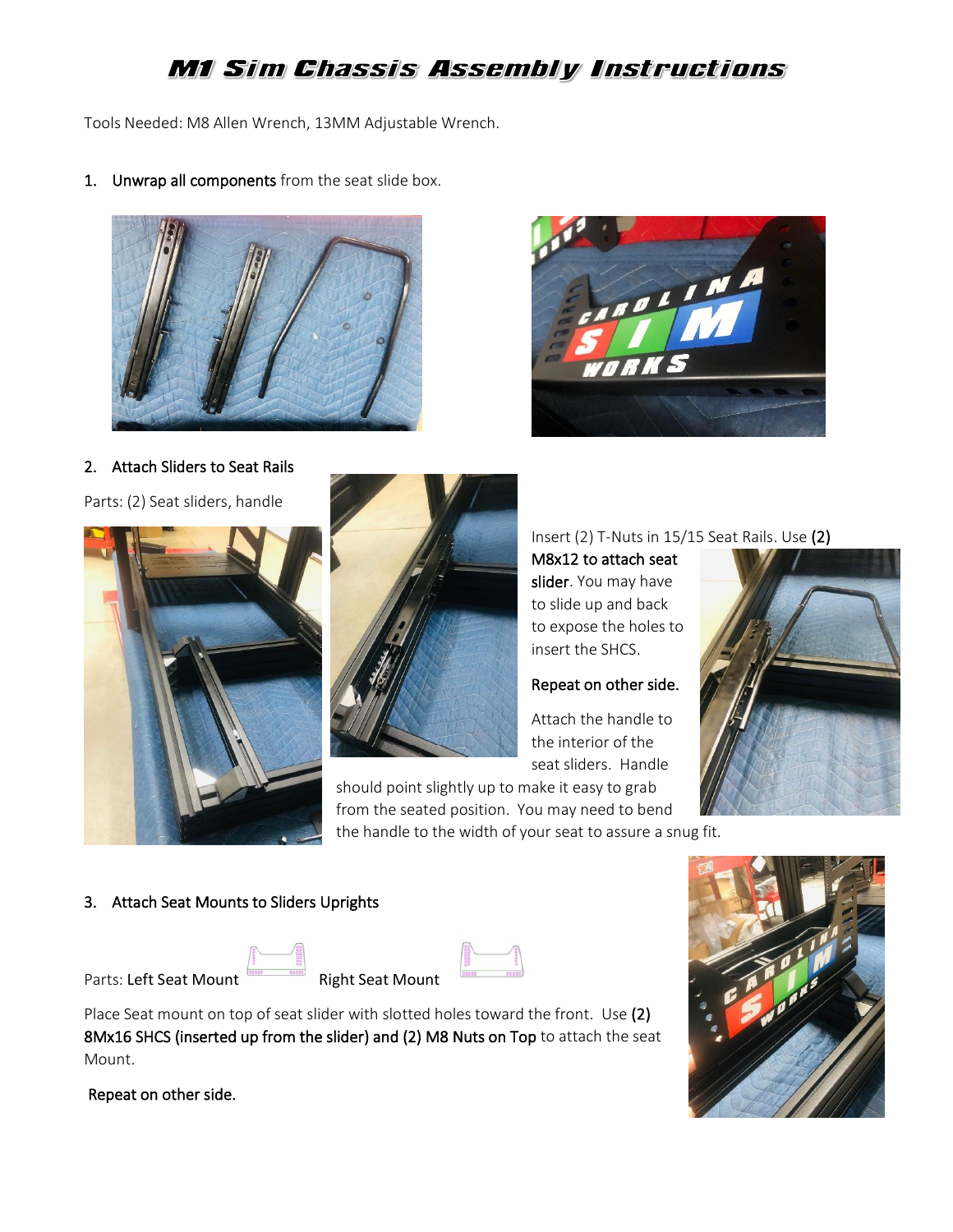# M1 Sim Chassis Assembly Instructions

Tools Needed: M8 Allen Wrench, 13MM Adjustable Wrench.

1. Unwrap all components from the seat slide box.





### 2. Attach Sliders to Seat Rails

Parts: (2) Seat sliders, handle





Insert (2) T-Nuts in 15/15 Seat Rails. Use (2)

M8x12 to attach seat slider. You may have to slide up and back to expose the holes to insert the SHCS.

## Repeat on other side.

Attach the handle to the interior of the seat sliders. Handle

should point slightly up to make it easy to grab from the seated position. You may need to bend the handle to the width of your seat to assure a snug fit.



### 3. Attach Seat Mounts to Sliders Uprights

Parts: Left Seat Mount Right Seat Mount

|  | DiahC |
|--|-------|

Place Seat mount on top of seat slider with slotted holes toward the front. Use (2) 8Mx16 SHCS (inserted up from the slider) and (2) M8 Nuts on Top to attach the seat Mount.

Repeat on other side.